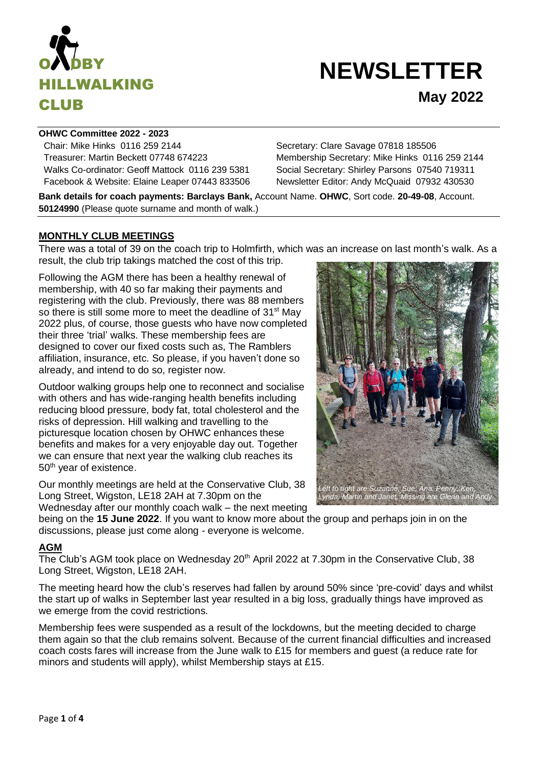

# **NEWSLETTER May 2022**

#### **OHWC Committee 2022 - 2023**

Chair: Mike Hinks 0116 259 2144 Secretary: Clare Savage 07818 185506 Treasurer: Martin Beckett 07748 674223 Membership Secretary: Mike Hinks 0116 259 2144 Walks Co-ordinator: Geoff Mattock 0116 239 5381 Social Secretary: Shirley Parsons 07540 719311 Facebook & Website: Elaine Leaper 07443 833506 Newsletter Editor: Andy McQuaid 07932 430530

**Bank details for coach payments: Barclays Bank,** Account Name. **OHWC**, Sort code. **20-49-08**, Account. **50124990** (Please quote surname and month of walk.)

## **MONTHLY CLUB MEETINGS**

There was a total of 39 on the coach trip to Holmfirth, which was an increase on last month's walk. As a result, the club trip takings matched the cost of this trip.

Following the AGM there has been a healthy renewal of membership, with 40 so far making their payments and registering with the club. Previously, there was 88 members so there is still some more to meet the deadline of 31<sup>st</sup> May 2022 plus, of course, those guests who have now completed their three 'trial' walks. These membership fees are designed to cover our fixed costs such as, The Ramblers affiliation, insurance, etc. So please, if you haven't done so already, and intend to do so, register now.

Outdoor walking groups help one to reconnect and socialise with others and has wide-ranging health benefits including reducing blood pressure, body fat, total cholesterol and the risks of depression. Hill walking and travelling to the picturesque location chosen by OHWC enhances these benefits and makes for a very enjoyable day out. Together we can ensure that next year the walking club reaches its 50<sup>th</sup> year of existence.

Our monthly meetings are held at the Conservative Club, 38 Long Street, Wigston, LE18 2AH at 7.30pm on the Wednesday after our monthly coach walk – the next meeting

*Left to right are Suzanne, Sue, Ana, Penny, Ken, Lynda, Martin and Janet. Missing are Glenn and Andy* 

being on the **15 June 2022**. If you want to know more about the group and perhaps join in on the discussions, please just come along - everyone is welcome.

# **AGM**

The Club's AGM took place on Wednesday  $20<sup>th</sup>$  April 2022 at 7.30pm in the Conservative Club, 38 Long Street, Wigston, LE18 2AH.

The meeting heard how the club's reserves had fallen by around 50% since 'pre-covid' days and whilst the start up of walks in September last year resulted in a big loss, gradually things have improved as we emerge from the covid restrictions.

Membership fees were suspended as a result of the lockdowns, but the meeting decided to charge them again so that the club remains solvent. Because of the current financial difficulties and increased coach costs fares will increase from the June walk to £15 for members and guest (a reduce rate for minors and students will apply), whilst Membership stays at £15.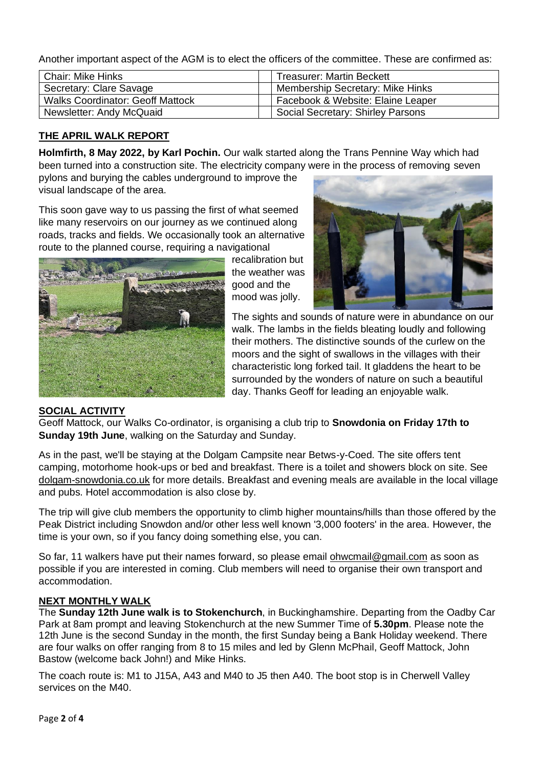Another important aspect of the AGM is to elect the officers of the committee. These are confirmed as:

| <b>Chair: Mike Hinks</b>                | <b>Treasurer: Martin Beckett</b>  |
|-----------------------------------------|-----------------------------------|
| Secretary: Clare Savage                 | Membership Secretary: Mike Hinks  |
| <b>Walks Coordinator: Geoff Mattock</b> | Facebook & Website: Elaine Leaper |
| Newsletter: Andy McQuaid                | Social Secretary: Shirley Parsons |

# **THE APRIL WALK REPORT**

**Holmfirth, 8 May 2022, by Karl Pochin.** Our walk started along the Trans Pennine Way which had been turned into a construction site. The electricity company were in the process of removing seven

pylons and burying the cables underground to improve the visual landscape of the area.

This soon gave way to us passing the first of what seemed like many reservoirs on our journey as we continued along roads, tracks and fields. We occasionally took an alternative route to the planned course, requiring a navigational



recalibration but the weather was good and the mood was jolly.



The sights and sounds of nature were in abundance on our walk. The lambs in the fields bleating loudly and following their mothers. The distinctive sounds of the curlew on the moors and the sight of swallows in the villages with their characteristic long forked tail. It gladdens the heart to be surrounded by the wonders of nature on such a beautiful day. Thanks Geoff for leading an enjoyable walk.

## **SOCIAL ACTIVITY**

Geoff Mattock, our Walks Co-ordinator, is organising a club trip to **Snowdonia on Friday 17th to Sunday 19th June**, walking on the Saturday and Sunday.

As in the past, we'll be staying at the Dolgam Campsite near Betws-y-Coed. The site offers tent camping, motorhome hook-ups or bed and breakfast. There is a toilet and showers block on site. See [dolgam-snowdonia.co.uk](https://nam12.safelinks.protection.outlook.com/?url=http%3A%2F%2Fdolgam-snowdonia.co.uk%2F&data=05%7C01%7C%7Cef9d2f2451aa4221fbd008da2a9ede90%7C84df9e7fe9f640afb435aaaaaaaaaaaa%7C1%7C0%7C637869159080671959%7CUnknown%7CTWFpbGZsb3d8eyJWIjoiMC4wLjAwMDAiLCJQIjoiV2luMzIiLCJBTiI6Ik1haWwiLCJXVCI6Mn0%3D%7C3000%7C%7C%7C&sdata=SqHm6UoMFiCTexz33ginFnOv869hXRSncVuAZAi5VZA%3D&reserved=0) for more details. Breakfast and evening meals are available in the local village and pubs. Hotel accommodation is also close by.

The trip will give club members the opportunity to climb higher mountains/hills than those offered by the Peak District including Snowdon and/or other less well known '3,000 footers' in the area. However, the time is your own, so if you fancy doing something else, you can.

So far, 11 walkers have put their names forward, so please email [ohwcmail@gmail.com](mailto:ohwcmail@gmail.com) as soon as possible if you are interested in coming. Club members will need to organise their own transport and accommodation.

## **NEXT MONTHLY WALK**

The **Sunday 12th June walk is to Stokenchurch**, in Buckinghamshire. Departing from the Oadby Car Park at 8am prompt and leaving Stokenchurch at the new Summer Time of **5.30pm**. Please note the 12th June is the second Sunday in the month, the first Sunday being a Bank Holiday weekend. There are four walks on offer ranging from 8 to 15 miles and led by Glenn McPhail, Geoff Mattock, John Bastow (welcome back John!) and Mike Hinks.

The coach route is: M1 to J15A, A43 and M40 to J5 then A40. The boot stop is in Cherwell Valley services on the M40.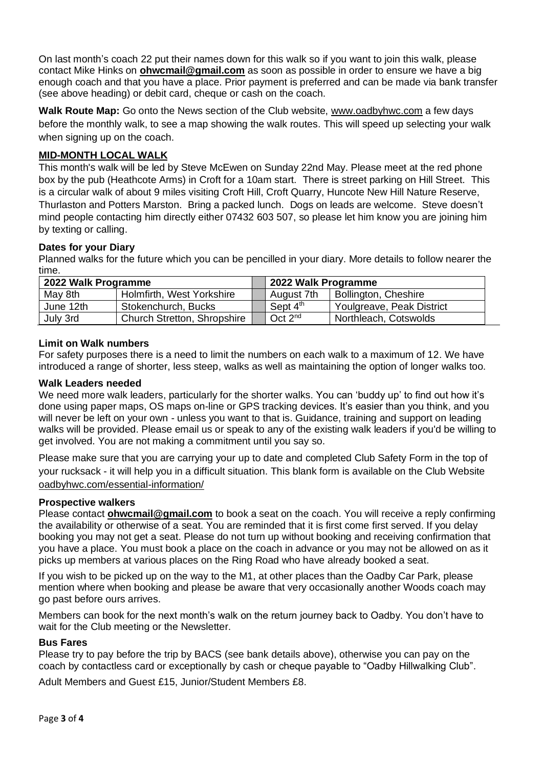On last month's coach 22 put their names down for this walk so if you want to join this walk, please contact Mike Hinks on **[ohwcmail@gmail.com](mailto:ohwcmail@gmail.com)** as soon as possible in order to ensure we have a big enough coach and that you have a place. Prior payment is preferred and can be made via bank transfer (see above heading) or debit card, cheque or cash on the coach.

**Walk Route Map:** Go onto the News section of the Club website, [www.oadbyhwc.com](http://www.oadbyhwc.com/) a few days before the monthly walk, to see a map showing the walk routes. This will speed up selecting your walk when signing up on the coach.

# **MID-MONTH LOCAL WALK**

This month's walk will be led by Steve McEwen on Sunday 22nd May. Please meet at the red phone box by the pub (Heathcote Arms) in Croft for a 10am start. There is street parking on Hill Street. This is a circular walk of about 9 miles visiting Croft Hill, Croft Quarry, Huncote New Hill Nature Reserve, Thurlaston and Potters Marston. Bring a packed lunch. Dogs on leads are welcome. Steve doesn't mind people contacting him directly either 07432 603 507, so please let him know you are joining him by texting or calling.

# **Dates for your Diary**

Planned walks for the future which you can be pencilled in your diary. More details to follow nearer the time.

| 2022 Walk Programme |                                    | ⊿ 2022 Walk Programme |                             |
|---------------------|------------------------------------|-----------------------|-----------------------------|
| May 8th             | Holmfirth, West Yorkshire          | August 7th            | <b>Bollington, Cheshire</b> |
| June 12th           | Stokenchurch, Bucks                | Sept 4 <sup>th</sup>  | Youlgreave, Peak District   |
| July 3rd            | <b>Church Stretton, Shropshire</b> | Oct $2^{nd}$          | Northleach, Cotswolds       |

## **Limit on Walk numbers**

For safety purposes there is a need to limit the numbers on each walk to a maximum of 12. We have introduced a range of shorter, less steep, walks as well as maintaining the option of longer walks too.

#### **Walk Leaders needed**

We need more walk leaders, particularly for the shorter walks. You can 'buddy up' to find out how it's done using paper maps, OS maps on-line or GPS tracking devices. It's easier than you think, and you will never be left on your own - unless you want to that is. Guidance, training and support on leading walks will be provided. Please email us or speak to any of the existing walk leaders if you'd be willing to get involved. You are not making a commitment until you say so.

Please make sure that you are carrying your up to date and completed Club Safety Form in the top of your rucksack - it will help you in a difficult situation. This blank form is available on the Club Website [oadbyhwc.com/essential-information/](http://oadbyhwc.com/essential-information/)

## **Prospective walkers**

Please contact **[ohwcmail@gmail.com](mailto:ohwcmail@gmail.com)** to book a seat on the coach. You will receive a reply confirming the availability or otherwise of a seat. You are reminded that it is first come first served. If you delay booking you may not get a seat. Please do not turn up without booking and receiving confirmation that you have a place. You must book a place on the coach in advance or you may not be allowed on as it picks up members at various places on the Ring Road who have already booked a seat.

If you wish to be picked up on the way to the M1, at other places than the Oadby Car Park, please mention where when booking and please be aware that very occasionally another Woods coach may go past before ours arrives.

Members can book for the next month's walk on the return journey back to Oadby. You don't have to wait for the Club meeting or the Newsletter.

## **Bus Fares**

Please try to pay before the trip by BACS (see bank details above), otherwise you can pay on the coach by contactless card or exceptionally by cash or cheque payable to "Oadby Hillwalking Club".

Adult Members and Guest £15, Junior/Student Members £8.